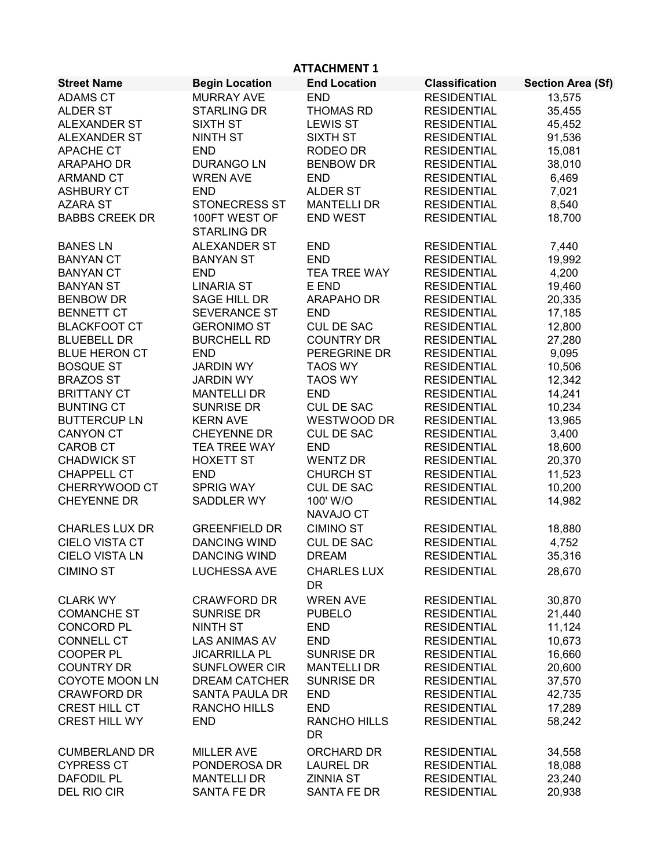| <b>ATTACHMENT 1</b>   |                                     |                                 |                       |                          |  |
|-----------------------|-------------------------------------|---------------------------------|-----------------------|--------------------------|--|
| <b>Street Name</b>    | <b>Begin Location</b>               | <b>End Location</b>             | <b>Classification</b> | <b>Section Area (Sf)</b> |  |
| <b>ADAMS CT</b>       | <b>MURRAY AVE</b>                   | <b>END</b>                      | <b>RESIDENTIAL</b>    | 13,575                   |  |
| <b>ALDER ST</b>       | <b>STARLING DR</b>                  | <b>THOMAS RD</b>                | <b>RESIDENTIAL</b>    | 35,455                   |  |
| <b>ALEXANDER ST</b>   | <b>SIXTH ST</b>                     | <b>LEWIS ST</b>                 | <b>RESIDENTIAL</b>    | 45,452                   |  |
| <b>ALEXANDER ST</b>   | <b>NINTH ST</b>                     | <b>SIXTH ST</b>                 | <b>RESIDENTIAL</b>    | 91,536                   |  |
| <b>APACHE CT</b>      | <b>END</b>                          | RODEO DR                        | <b>RESIDENTIAL</b>    | 15,081                   |  |
| <b>ARAPAHO DR</b>     | <b>DURANGO LN</b>                   | <b>BENBOW DR</b>                | <b>RESIDENTIAL</b>    | 38,010                   |  |
| <b>ARMAND CT</b>      | <b>WREN AVE</b>                     | <b>END</b>                      | <b>RESIDENTIAL</b>    | 6,469                    |  |
| <b>ASHBURY CT</b>     | <b>END</b>                          | <b>ALDER ST</b>                 | <b>RESIDENTIAL</b>    | 7,021                    |  |
| <b>AZARA ST</b>       | <b>STONECRESS ST</b>                | <b>MANTELLI DR</b>              | <b>RESIDENTIAL</b>    | 8,540                    |  |
| <b>BABBS CREEK DR</b> | 100FT WEST OF<br><b>STARLING DR</b> | <b>END WEST</b>                 | <b>RESIDENTIAL</b>    | 18,700                   |  |
| <b>BANES LN</b>       | <b>ALEXANDER ST</b>                 | <b>END</b>                      | <b>RESIDENTIAL</b>    | 7,440                    |  |
| <b>BANYAN CT</b>      | <b>BANYAN ST</b>                    | <b>END</b>                      | <b>RESIDENTIAL</b>    | 19,992                   |  |
| <b>BANYAN CT</b>      | <b>END</b>                          | TEA TREE WAY                    | <b>RESIDENTIAL</b>    | 4,200                    |  |
| <b>BANYAN ST</b>      | <b>LINARIA ST</b>                   | E END                           | <b>RESIDENTIAL</b>    | 19,460                   |  |
| <b>BENBOW DR</b>      | SAGE HILL DR                        | <b>ARAPAHO DR</b>               | <b>RESIDENTIAL</b>    | 20,335                   |  |
| <b>BENNETT CT</b>     | <b>SEVERANCE ST</b>                 | <b>END</b>                      | <b>RESIDENTIAL</b>    | 17,185                   |  |
| <b>BLACKFOOT CT</b>   | <b>GERONIMO ST</b>                  | <b>CUL DE SAC</b>               | <b>RESIDENTIAL</b>    | 12,800                   |  |
| <b>BLUEBELL DR</b>    | <b>BURCHELL RD</b>                  | <b>COUNTRY DR</b>               | <b>RESIDENTIAL</b>    | 27,280                   |  |
| <b>BLUE HERON CT</b>  | <b>END</b>                          | PEREGRINE DR                    | <b>RESIDENTIAL</b>    | 9,095                    |  |
| <b>BOSQUE ST</b>      | <b>JARDIN WY</b>                    | <b>TAOS WY</b>                  | <b>RESIDENTIAL</b>    | 10,506                   |  |
| <b>BRAZOS ST</b>      | <b>JARDIN WY</b>                    | <b>TAOS WY</b>                  | <b>RESIDENTIAL</b>    | 12,342                   |  |
| <b>BRITTANY CT</b>    | <b>MANTELLI DR</b>                  | <b>END</b>                      | <b>RESIDENTIAL</b>    | 14,241                   |  |
| <b>BUNTING CT</b>     | <b>SUNRISE DR</b>                   | <b>CUL DE SAC</b>               | <b>RESIDENTIAL</b>    | 10,234                   |  |
| <b>BUTTERCUP LN</b>   | <b>KERN AVE</b>                     | <b>WESTWOOD DR</b>              | <b>RESIDENTIAL</b>    | 13,965                   |  |
| <b>CANYON CT</b>      | <b>CHEYENNE DR</b>                  | <b>CUL DE SAC</b>               | <b>RESIDENTIAL</b>    | 3,400                    |  |
| <b>CAROB CT</b>       | <b>TEA TREE WAY</b>                 | <b>END</b>                      | <b>RESIDENTIAL</b>    | 18,600                   |  |
| <b>CHADWICK ST</b>    | <b>HOXETT ST</b>                    | <b>WENTZ DR</b>                 | <b>RESIDENTIAL</b>    | 20,370                   |  |
| <b>CHAPPELL CT</b>    | <b>END</b>                          | <b>CHURCH ST</b>                | <b>RESIDENTIAL</b>    | 11,523                   |  |
| CHERRYWOOD CT         | <b>SPRIG WAY</b>                    | <b>CUL DE SAC</b>               | <b>RESIDENTIAL</b>    | 10,200                   |  |
| <b>CHEYENNE DR</b>    | <b>SADDLER WY</b>                   | 100' W/O<br>NAVAJO CT           | <b>RESIDENTIAL</b>    | 14,982                   |  |
| <b>CHARLES LUX DR</b> | <b>GREENFIELD DR</b>                | <b>CIMINO ST</b>                | <b>RESIDENTIAL</b>    | 18,880                   |  |
| <b>CIELO VISTA CT</b> | <b>DANCING WIND</b>                 | <b>CUL DE SAC</b>               | <b>RESIDENTIAL</b>    | 4,752                    |  |
| <b>CIELO VISTA LN</b> | <b>DANCING WIND</b>                 | <b>DREAM</b>                    | <b>RESIDENTIAL</b>    | 35,316                   |  |
| <b>CIMINO ST</b>      | <b>LUCHESSA AVE</b>                 | <b>CHARLES LUX</b><br><b>DR</b> | <b>RESIDENTIAL</b>    | 28,670                   |  |
| <b>CLARK WY</b>       | <b>CRAWFORD DR</b>                  | <b>WREN AVE</b>                 | <b>RESIDENTIAL</b>    | 30,870                   |  |
| <b>COMANCHE ST</b>    | <b>SUNRISE DR</b>                   | <b>PUBELO</b>                   | <b>RESIDENTIAL</b>    | 21,440                   |  |
| CONCORD PL            | <b>NINTH ST</b>                     | <b>END</b>                      | <b>RESIDENTIAL</b>    | 11,124                   |  |
| <b>CONNELL CT</b>     | <b>LAS ANIMAS AV</b>                | <b>END</b>                      | <b>RESIDENTIAL</b>    | 10,673                   |  |
| <b>COOPER PL</b>      | <b>JICARRILLA PL</b>                | <b>SUNRISE DR</b>               | <b>RESIDENTIAL</b>    | 16,660                   |  |
| <b>COUNTRY DR</b>     | <b>SUNFLOWER CIR</b>                | <b>MANTELLI DR</b>              | <b>RESIDENTIAL</b>    | 20,600                   |  |
| <b>COYOTE MOON LN</b> | <b>DREAM CATCHER</b>                | <b>SUNRISE DR</b>               | <b>RESIDENTIAL</b>    | 37,570                   |  |
| <b>CRAWFORD DR</b>    | <b>SANTA PAULA DR</b>               | <b>END</b>                      | <b>RESIDENTIAL</b>    | 42,735                   |  |
| CREST HILL CT         | RANCHO HILLS                        | <b>END</b>                      | <b>RESIDENTIAL</b>    | 17,289                   |  |
| <b>CREST HILL WY</b>  | <b>END</b>                          | RANCHO HILLS<br>DR.             | <b>RESIDENTIAL</b>    | 58,242                   |  |
| <b>CUMBERLAND DR</b>  | <b>MILLER AVE</b>                   | ORCHARD DR                      | <b>RESIDENTIAL</b>    | 34,558                   |  |
| <b>CYPRESS CT</b>     | PONDEROSA DR                        | <b>LAUREL DR</b>                | <b>RESIDENTIAL</b>    | 18,088                   |  |
| <b>DAFODIL PL</b>     | <b>MANTELLI DR</b>                  | <b>ZINNIA ST</b>                | <b>RESIDENTIAL</b>    | 23,240                   |  |
| DEL RIO CIR           | SANTA FE DR                         | SANTA FE DR                     | <b>RESIDENTIAL</b>    | 20,938                   |  |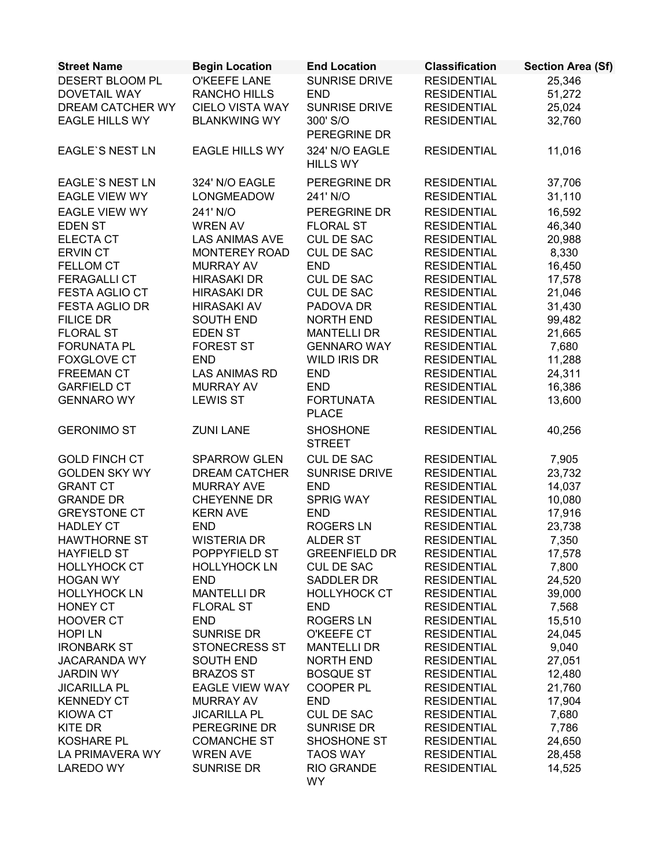| <b>Street Name</b>                  | <b>Begin Location</b>              | <b>End Location</b>              | <b>Classification</b>                    | <b>Section Area (Sf)</b> |
|-------------------------------------|------------------------------------|----------------------------------|------------------------------------------|--------------------------|
| DESERT BLOOM PL                     | O'KEEFE LANE                       | <b>SUNRISE DRIVE</b>             | <b>RESIDENTIAL</b>                       | 25,346                   |
| <b>DOVETAIL WAY</b>                 | RANCHO HILLS                       | <b>END</b>                       | <b>RESIDENTIAL</b>                       | 51,272                   |
| DREAM CATCHER WY                    | <b>CIELO VISTA WAY</b>             | <b>SUNRISE DRIVE</b>             | <b>RESIDENTIAL</b>                       | 25,024                   |
| <b>EAGLE HILLS WY</b>               | <b>BLANKWING WY</b>                | 300' S/O                         | <b>RESIDENTIAL</b>                       | 32,760                   |
|                                     |                                    | PEREGRINE DR                     |                                          |                          |
| <b>EAGLE'S NEST LN</b>              | <b>EAGLE HILLS WY</b>              | 324' N/O EAGLE                   | <b>RESIDENTIAL</b>                       | 11,016                   |
|                                     |                                    | <b>HILLS WY</b>                  |                                          |                          |
| <b>EAGLE'S NEST LN</b>              | 324' N/O EAGLE                     | PEREGRINE DR                     | <b>RESIDENTIAL</b>                       | 37,706                   |
| <b>EAGLE VIEW WY</b>                | LONGMEADOW                         | 241' N/O                         | <b>RESIDENTIAL</b>                       | 31,110                   |
| <b>EAGLE VIEW WY</b>                | 241' N/O                           | PEREGRINE DR                     | <b>RESIDENTIAL</b>                       | 16,592                   |
| <b>EDEN ST</b>                      | <b>WREN AV</b>                     | <b>FLORAL ST</b>                 | <b>RESIDENTIAL</b>                       | 46,340                   |
| <b>ELECTA CT</b>                    | LAS ANIMAS AVE                     | <b>CUL DE SAC</b>                | <b>RESIDENTIAL</b>                       | 20,988                   |
| <b>ERVIN CT</b>                     | <b>MONTEREY ROAD</b>               | CUL DE SAC                       | <b>RESIDENTIAL</b>                       | 8,330                    |
| FELLOM CT                           | <b>MURRAY AV</b>                   | <b>END</b>                       | <b>RESIDENTIAL</b>                       | 16,450                   |
| <b>FERAGALLI CT</b>                 | <b>HIRASAKI DR</b>                 | <b>CUL DE SAC</b>                | <b>RESIDENTIAL</b>                       | 17,578                   |
| FESTA AGLIO CT                      | <b>HIRASAKI DR</b>                 | CUL DE SAC                       | <b>RESIDENTIAL</b>                       | 21,046                   |
| <b>FESTA AGLIO DR</b>               | <b>HIRASAKI AV</b>                 | PADOVA DR                        | <b>RESIDENTIAL</b>                       | 31,430                   |
| <b>FILICE DR</b>                    | <b>SOUTH END</b>                   | <b>NORTH END</b>                 | <b>RESIDENTIAL</b>                       | 99,482                   |
| <b>FLORAL ST</b>                    | <b>EDEN ST</b>                     | <b>MANTELLI DR</b>               | <b>RESIDENTIAL</b>                       | 21,665                   |
| <b>FORUNATA PL</b>                  | <b>FOREST ST</b>                   | <b>GENNARO WAY</b>               | <b>RESIDENTIAL</b>                       | 7,680                    |
| <b>FOXGLOVE CT</b>                  | <b>END</b>                         | WILD IRIS DR                     | <b>RESIDENTIAL</b>                       | 11,288                   |
| <b>FREEMAN CT</b>                   | <b>LAS ANIMAS RD</b>               | <b>END</b>                       | <b>RESIDENTIAL</b>                       | 24,311                   |
| <b>GARFIELD CT</b>                  | <b>MURRAY AV</b>                   | <b>END</b>                       | <b>RESIDENTIAL</b>                       | 16,386                   |
| <b>GENNARO WY</b>                   | <b>LEWIS ST</b>                    | <b>FORTUNATA</b>                 | <b>RESIDENTIAL</b>                       | 13,600                   |
|                                     |                                    | <b>PLACE</b>                     |                                          |                          |
| <b>GERONIMO ST</b>                  | <b>ZUNI LANE</b>                   | <b>SHOSHONE</b><br><b>STREET</b> | <b>RESIDENTIAL</b>                       | 40,256                   |
| <b>GOLD FINCH CT</b>                | <b>SPARROW GLEN</b>                | <b>CUL DE SAC</b>                | <b>RESIDENTIAL</b>                       | 7,905                    |
| <b>GOLDEN SKY WY</b>                | <b>DREAM CATCHER</b>               | <b>SUNRISE DRIVE</b>             | <b>RESIDENTIAL</b>                       | 23,732                   |
| <b>GRANT CT</b>                     | <b>MURRAY AVE</b>                  | <b>END</b>                       | <b>RESIDENTIAL</b>                       | 14,037                   |
| <b>GRANDE DR</b>                    | <b>CHEYENNE DR</b>                 | <b>SPRIG WAY</b>                 | <b>RESIDENTIAL</b>                       | 10,080                   |
| <b>GREYSTONE CT</b>                 | <b>KERN AVE</b>                    | <b>END</b>                       | <b>RESIDENTIAL</b>                       | 17,916                   |
| <b>HADLEY CT</b>                    | <b>END</b>                         | <b>ROGERS LN</b>                 | <b>RESIDENTIAL</b>                       | 23,738                   |
| <b>HAWTHORNE ST</b>                 | <b>WISTERIA DR</b>                 | <b>ALDER ST</b>                  | <b>RESIDENTIAL</b>                       | 7,350                    |
| <b>HAYFIELD ST</b>                  | POPPYFIELD ST                      | <b>GREENFIELD DR</b>             | <b>RESIDENTIAL</b>                       | 17,578                   |
| <b>HOLLYHOCK CT</b>                 | <b>HOLLYHOCK LN</b>                | <b>CUL DE SAC</b>                | <b>RESIDENTIAL</b>                       | 7,800                    |
| <b>HOGAN WY</b>                     | <b>END</b>                         | SADDLER DR                       | <b>RESIDENTIAL</b>                       | 24,520                   |
| <b>HOLLYHOCK LN</b>                 | <b>MANTELLI DR</b>                 | <b>HOLLYHOCK CT</b>              | <b>RESIDENTIAL</b>                       | 39,000                   |
| HONEY CT                            | <b>FLORAL ST</b>                   | <b>END</b>                       | <b>RESIDENTIAL</b>                       | 7,568                    |
| <b>HOOVER CT</b>                    | <b>END</b>                         | <b>ROGERS LN</b>                 | <b>RESIDENTIAL</b>                       | 15,510                   |
| <b>HOPILN</b>                       | <b>SUNRISE DR</b>                  | O'KEEFE CT                       | <b>RESIDENTIAL</b>                       | 24,045                   |
| <b>IRONBARK ST</b>                  | <b>STONECRESS ST</b>               | <b>MANTELLI DR</b>               | <b>RESIDENTIAL</b>                       | 9,040                    |
| <b>JACARANDA WY</b>                 | <b>SOUTH END</b>                   | <b>NORTH END</b>                 | <b>RESIDENTIAL</b>                       | 27,051                   |
| <b>JARDIN WY</b>                    | <b>BRAZOS ST</b>                   | <b>BOSQUE ST</b>                 | <b>RESIDENTIAL</b>                       | 12,480                   |
| <b>JICARILLA PL</b>                 | <b>EAGLE VIEW WAY</b>              | <b>COOPER PL</b>                 | <b>RESIDENTIAL</b>                       | 21,760                   |
| <b>KENNEDY CT</b>                   | <b>MURRAY AV</b>                   | <b>END</b>                       | <b>RESIDENTIAL</b>                       | 17,904                   |
| KIOWA CT                            | <b>JICARILLA PL</b>                | <b>CUL DE SAC</b>                | <b>RESIDENTIAL</b>                       | 7,680                    |
| <b>KITE DR</b><br><b>KOSHARE PL</b> | PEREGRINE DR<br><b>COMANCHE ST</b> | <b>SUNRISE DR</b><br>SHOSHONE ST | <b>RESIDENTIAL</b><br><b>RESIDENTIAL</b> | 7,786<br>24,650          |
| LA PRIMAVERA WY                     | <b>WREN AVE</b>                    | <b>TAOS WAY</b>                  | <b>RESIDENTIAL</b>                       | 28,458                   |
| <b>LAREDO WY</b>                    | <b>SUNRISE DR</b>                  | <b>RIO GRANDE</b>                | <b>RESIDENTIAL</b>                       | 14,525                   |
|                                     |                                    | <b>WY</b>                        |                                          |                          |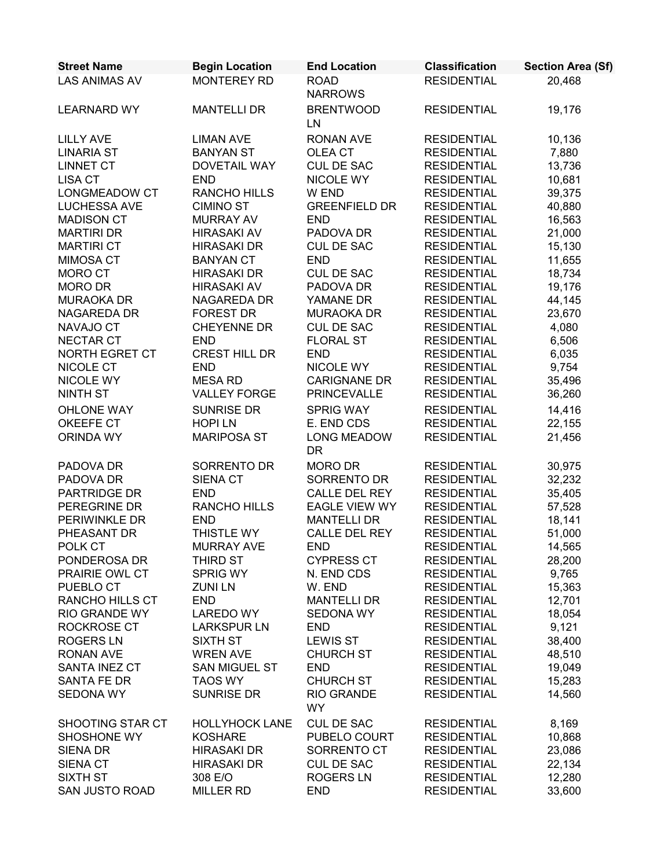| <b>Street Name</b>     | <b>Begin Location</b> | <b>End Location</b>             | <b>Classification</b> | <b>Section Area (Sf)</b> |
|------------------------|-----------------------|---------------------------------|-----------------------|--------------------------|
| <b>LAS ANIMAS AV</b>   | <b>MONTEREY RD</b>    | <b>ROAD</b><br><b>NARROWS</b>   | <b>RESIDENTIAL</b>    | 20,468                   |
| <b>LEARNARD WY</b>     | <b>MANTELLI DR</b>    | <b>BRENTWOOD</b><br>LN          | <b>RESIDENTIAL</b>    | 19,176                   |
| <b>LILLY AVE</b>       | <b>LIMAN AVE</b>      | <b>RONAN AVE</b>                | <b>RESIDENTIAL</b>    | 10,136                   |
| <b>LINARIA ST</b>      | <b>BANYAN ST</b>      | OLEA CT                         | <b>RESIDENTIAL</b>    | 7,880                    |
| <b>LINNET CT</b>       | DOVETAIL WAY          | <b>CUL DE SAC</b>               | <b>RESIDENTIAL</b>    | 13,736                   |
| <b>LISA CT</b>         | <b>END</b>            | NICOLE WY                       | <b>RESIDENTIAL</b>    | 10,681                   |
| LONGMEADOW CT          | <b>RANCHO HILLS</b>   | W END                           | <b>RESIDENTIAL</b>    | 39,375                   |
| LUCHESSA AVE           | <b>CIMINO ST</b>      | <b>GREENFIELD DR</b>            | <b>RESIDENTIAL</b>    | 40,880                   |
| <b>MADISON CT</b>      | <b>MURRAY AV</b>      | <b>END</b>                      | <b>RESIDENTIAL</b>    | 16,563                   |
| <b>MARTIRI DR</b>      | <b>HIRASAKI AV</b>    | PADOVA DR                       | <b>RESIDENTIAL</b>    | 21,000                   |
| <b>MARTIRI CT</b>      | <b>HIRASAKI DR</b>    | <b>CUL DE SAC</b>               | <b>RESIDENTIAL</b>    | 15,130                   |
| <b>MIMOSA CT</b>       | <b>BANYAN CT</b>      | <b>END</b>                      | <b>RESIDENTIAL</b>    | 11,655                   |
| <b>MORO CT</b>         | <b>HIRASAKI DR</b>    | <b>CUL DE SAC</b>               | <b>RESIDENTIAL</b>    | 18,734                   |
| <b>MORO DR</b>         | <b>HIRASAKI AV</b>    | PADOVA DR                       | <b>RESIDENTIAL</b>    | 19,176                   |
| <b>MURAOKA DR</b>      | <b>NAGAREDA DR</b>    | YAMANE DR                       | <b>RESIDENTIAL</b>    | 44,145                   |
| NAGAREDA DR            | <b>FOREST DR</b>      | <b>MURAOKA DR</b>               | <b>RESIDENTIAL</b>    | 23,670                   |
| NAVAJO CT              | <b>CHEYENNE DR</b>    | CUL DE SAC                      | <b>RESIDENTIAL</b>    | 4,080                    |
| <b>NECTAR CT</b>       | <b>END</b>            | <b>FLORAL ST</b>                | <b>RESIDENTIAL</b>    | 6,506                    |
| <b>NORTH EGRET CT</b>  | <b>CREST HILL DR</b>  | <b>END</b>                      | <b>RESIDENTIAL</b>    | 6,035                    |
| NICOLE CT              | <b>END</b>            | NICOLE WY                       | <b>RESIDENTIAL</b>    | 9,754                    |
| NICOLE WY              | <b>MESA RD</b>        | <b>CARIGNANE DR</b>             | <b>RESIDENTIAL</b>    | 35,496                   |
| <b>NINTH ST</b>        | <b>VALLEY FORGE</b>   | <b>PRINCEVALLE</b>              | <b>RESIDENTIAL</b>    | 36,260                   |
| OHLONE WAY             | <b>SUNRISE DR</b>     | <b>SPRIG WAY</b>                | <b>RESIDENTIAL</b>    | 14,416                   |
| OKEEFE CT              | <b>HOPILN</b>         | E. END CDS                      | <b>RESIDENTIAL</b>    | 22,155                   |
| ORINDA WY              | <b>MARIPOSA ST</b>    | <b>LONG MEADOW</b><br><b>DR</b> | <b>RESIDENTIAL</b>    | 21,456                   |
| PADOVA DR              | SORRENTO DR           | MORO DR                         | <b>RESIDENTIAL</b>    | 30,975                   |
| PADOVA DR              | <b>SIENA CT</b>       | SORRENTO DR                     | <b>RESIDENTIAL</b>    | 32,232                   |
| PARTRIDGE DR           | <b>END</b>            | CALLE DEL REY                   | <b>RESIDENTIAL</b>    | 35,405                   |
| PEREGRINE DR           | RANCHO HILLS          | EAGLE VIEW WY                   | <b>RESIDENTIAL</b>    | 57,528                   |
| PERIWINKLE DR          | <b>END</b>            | <b>MANTELLI DR</b>              | <b>RESIDENTIAL</b>    | 18,141                   |
| PHEASANT DR            | THISTLE WY            | <b>CALLE DEL REY</b>            | <b>RESIDENTIAL</b>    | 51,000                   |
| POLK CT                | <b>MURRAY AVE</b>     | END                             | <b>RESIDENTIAL</b>    | 14,565                   |
| PONDEROSA DR           | THIRD ST              | <b>CYPRESS CT</b>               | <b>RESIDENTIAL</b>    | 28,200                   |
| PRAIRIE OWL CT         | SPRIG WY              | N. END CDS                      | <b>RESIDENTIAL</b>    | 9,765                    |
| PUEBLO CT              | <b>ZUNILN</b>         | W. END                          | <b>RESIDENTIAL</b>    | 15,363                   |
| <b>RANCHO HILLS CT</b> | <b>END</b>            | <b>MANTELLI DR</b>              | <b>RESIDENTIAL</b>    | 12,701                   |
| RIO GRANDE WY          | <b>LAREDO WY</b>      | SEDONA WY                       | <b>RESIDENTIAL</b>    | 18,054                   |
| ROCKROSE CT            | <b>LARKSPUR LN</b>    | <b>END</b>                      | <b>RESIDENTIAL</b>    | 9,121                    |
| <b>ROGERS LN</b>       | <b>SIXTH ST</b>       | <b>LEWIS ST</b>                 | <b>RESIDENTIAL</b>    | 38,400                   |
| <b>RONAN AVE</b>       | <b>WREN AVE</b>       | <b>CHURCH ST</b>                | <b>RESIDENTIAL</b>    | 48,510                   |
| SANTA INEZ CT          | <b>SAN MIGUEL ST</b>  | <b>END</b>                      | <b>RESIDENTIAL</b>    | 19,049                   |
| SANTA FE DR            | <b>TAOS WY</b>        | <b>CHURCH ST</b>                | <b>RESIDENTIAL</b>    | 15,283                   |
| SEDONA WY              | SUNRISE DR            | RIO GRANDE<br><b>WY</b>         | <b>RESIDENTIAL</b>    | 14,560                   |
| SHOOTING STAR CT       | <b>HOLLYHOCK LANE</b> | <b>CUL DE SAC</b>               | <b>RESIDENTIAL</b>    | 8,169                    |
| SHOSHONE WY            | <b>KOSHARE</b>        | PUBELO COURT                    | <b>RESIDENTIAL</b>    | 10,868                   |
| <b>SIENA DR</b>        | <b>HIRASAKI DR</b>    | SORRENTO CT                     | <b>RESIDENTIAL</b>    | 23,086                   |
| SIENA CT               | HIRASAKI DR           | <b>CUL DE SAC</b>               | <b>RESIDENTIAL</b>    | 22,134                   |
| <b>SIXTH ST</b>        | 308 E/O               | <b>ROGERS LN</b>                | <b>RESIDENTIAL</b>    | 12,280                   |
| SAN JUSTO ROAD         | <b>MILLER RD</b>      | <b>END</b>                      | <b>RESIDENTIAL</b>    | 33,600                   |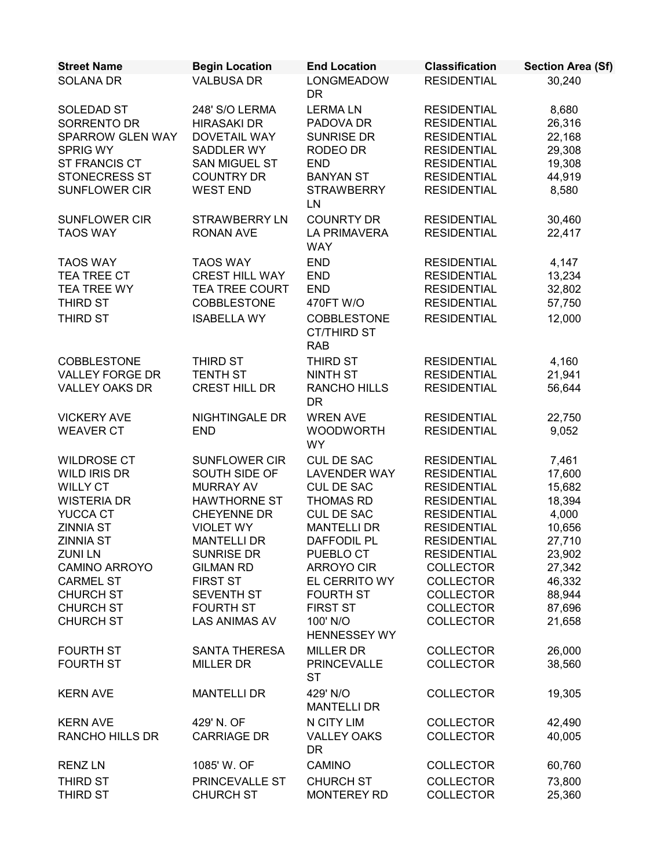| <b>Street Name</b>     | <b>Begin Location</b> | <b>End Location</b>                             | <b>Classification</b> | <b>Section Area (Sf)</b> |
|------------------------|-----------------------|-------------------------------------------------|-----------------------|--------------------------|
| <b>SOLANA DR</b>       | <b>VALBUSA DR</b>     | <b>LONGMEADOW</b><br><b>DR</b>                  | <b>RESIDENTIAL</b>    | 30,240                   |
| SOLEDAD ST             | 248' S/O LERMA        | <b>LERMALN</b>                                  | <b>RESIDENTIAL</b>    | 8,680                    |
| SORRENTO DR            | <b>HIRASAKI DR</b>    | PADOVA DR                                       | <b>RESIDENTIAL</b>    | 26,316                   |
| SPARROW GLEN WAY       | DOVETAIL WAY          | <b>SUNRISE DR</b>                               | <b>RESIDENTIAL</b>    | 22,168                   |
| <b>SPRIG WY</b>        | <b>SADDLER WY</b>     | RODEO DR                                        | <b>RESIDENTIAL</b>    | 29,308                   |
| ST FRANCIS CT          | <b>SAN MIGUEL ST</b>  | <b>END</b>                                      | <b>RESIDENTIAL</b>    | 19,308                   |
| <b>STONECRESS ST</b>   | <b>COUNTRY DR</b>     | <b>BANYAN ST</b>                                | <b>RESIDENTIAL</b>    | 44,919                   |
| <b>SUNFLOWER CIR</b>   | <b>WEST END</b>       | <b>STRAWBERRY</b><br>LN                         | <b>RESIDENTIAL</b>    | 8,580                    |
| <b>SUNFLOWER CIR</b>   | <b>STRAWBERRY LN</b>  | <b>COUNRTY DR</b>                               | <b>RESIDENTIAL</b>    | 30,460                   |
| <b>TAOS WAY</b>        | <b>RONAN AVE</b>      | <b>LA PRIMAVERA</b><br><b>WAY</b>               | <b>RESIDENTIAL</b>    | 22,417                   |
| <b>TAOS WAY</b>        | <b>TAOS WAY</b>       | <b>END</b>                                      | <b>RESIDENTIAL</b>    | 4,147                    |
| TEA TREE CT            | <b>CREST HILL WAY</b> | <b>END</b>                                      | <b>RESIDENTIAL</b>    | 13,234                   |
| <b>TEA TREE WY</b>     | <b>TEA TREE COURT</b> | <b>END</b>                                      | <b>RESIDENTIAL</b>    | 32,802                   |
| THIRD ST               | <b>COBBLESTONE</b>    | 470FT W/O                                       | <b>RESIDENTIAL</b>    | 57,750                   |
| <b>THIRD ST</b>        | <b>ISABELLA WY</b>    | COBBLESTONE<br><b>CT/THIRD ST</b><br><b>RAB</b> | <b>RESIDENTIAL</b>    | 12,000                   |
| COBBLESTONE            | THIRD ST              | THIRD ST                                        | <b>RESIDENTIAL</b>    | 4,160                    |
| <b>VALLEY FORGE DR</b> | <b>TENTH ST</b>       | NINTH ST                                        | <b>RESIDENTIAL</b>    | 21,941                   |
| <b>VALLEY OAKS DR</b>  | CREST HILL DR         | <b>RANCHO HILLS</b>                             | <b>RESIDENTIAL</b>    | 56,644                   |
|                        |                       | <b>DR</b>                                       |                       |                          |
| <b>VICKERY AVE</b>     | NIGHTINGALE DR        | <b>WREN AVE</b>                                 | <b>RESIDENTIAL</b>    | 22,750                   |
| <b>WEAVER CT</b>       | <b>END</b>            | <b>WOODWORTH</b><br><b>WY</b>                   | <b>RESIDENTIAL</b>    | 9,052                    |
| <b>WILDROSE CT</b>     | <b>SUNFLOWER CIR</b>  | <b>CUL DE SAC</b>                               | <b>RESIDENTIAL</b>    | 7,461                    |
| WILD IRIS DR           | SOUTH SIDE OF         | <b>LAVENDER WAY</b>                             | <b>RESIDENTIAL</b>    | 17,600                   |
| <b>WILLY CT</b>        | <b>MURRAY AV</b>      | <b>CUL DE SAC</b>                               | <b>RESIDENTIAL</b>    | 15,682                   |
| <b>WISTERIA DR</b>     | <b>HAWTHORNE ST</b>   | <b>THOMAS RD</b>                                | <b>RESIDENTIAL</b>    | 18,394                   |
| YUCCA CT               | <b>CHEYENNE DR</b>    | <b>CUL DE SAC</b>                               | <b>RESIDENTIAL</b>    | 4,000                    |
| <b>ZINNIA ST</b>       | <b>VIOLET WY</b>      | <b>MANTELLI DR</b>                              | <b>RESIDENTIAL</b>    | 10,656                   |
| <b>ZINNIA ST</b>       | <b>MANTELLI DR</b>    | <b>DAFFODIL PL</b>                              | <b>RESIDENTIAL</b>    | 27,710                   |
| <b>ZUNILN</b>          | <b>SUNRISE DR</b>     | PUEBLO CT                                       | <b>RESIDENTIAL</b>    | 23,902                   |
| <b>CAMINO ARROYO</b>   | <b>GILMAN RD</b>      | <b>ARROYO CIR</b>                               | <b>COLLECTOR</b>      | 27,342                   |
| <b>CARMEL ST</b>       | <b>FIRST ST</b>       | EL CERRITO WY                                   | <b>COLLECTOR</b>      | 46,332                   |
| <b>CHURCH ST</b>       | <b>SEVENTH ST</b>     | <b>FOURTH ST</b>                                | <b>COLLECTOR</b>      | 88,944                   |
| <b>CHURCH ST</b>       | <b>FOURTH ST</b>      | <b>FIRST ST</b>                                 | <b>COLLECTOR</b>      | 87,696                   |
| <b>CHURCH ST</b>       | <b>LAS ANIMAS AV</b>  | 100' N/O<br><b>HENNESSEY WY</b>                 | <b>COLLECTOR</b>      | 21,658                   |
| <b>FOURTH ST</b>       | SANTA THERESA         | <b>MILLER DR</b>                                | <b>COLLECTOR</b>      | 26,000                   |
| <b>FOURTH ST</b>       | <b>MILLER DR</b>      | <b>PRINCEVALLE</b><br><b>ST</b>                 | <b>COLLECTOR</b>      | 38,560                   |
| <b>KERN AVE</b>        | <b>MANTELLI DR</b>    | 429' N/O<br><b>MANTELLI DR</b>                  | <b>COLLECTOR</b>      | 19,305                   |
| <b>KERN AVE</b>        | 429' N. OF            | N CITY LIM                                      | <b>COLLECTOR</b>      | 42,490                   |
| <b>RANCHO HILLS DR</b> | <b>CARRIAGE DR</b>    | <b>VALLEY OAKS</b><br><b>DR</b>                 | <b>COLLECTOR</b>      | 40,005                   |
| <b>RENZLN</b>          | 1085' W. OF           | <b>CAMINO</b>                                   | <b>COLLECTOR</b>      | 60,760                   |
| <b>THIRD ST</b>        | PRINCEVALLE ST        | <b>CHURCH ST</b>                                | <b>COLLECTOR</b>      | 73,800                   |
| <b>THIRD ST</b>        | <b>CHURCH ST</b>      | <b>MONTEREY RD</b>                              | <b>COLLECTOR</b>      | 25,360                   |